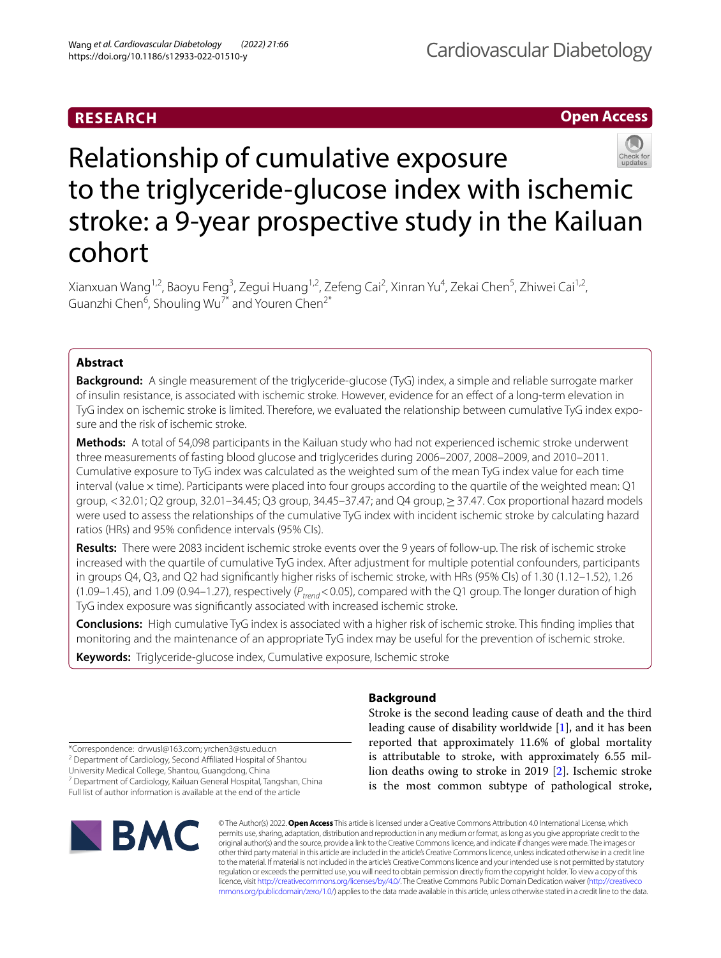# **RESEARCH**

## **Open Access**



# Relationship of cumulative exposure to the triglyceride-glucose index with ischemic stroke: a 9-year prospective study in the Kailuan cohort

Xianxuan Wang<sup>1,2</sup>, Baoyu Feng<sup>3</sup>, Zegui Huang<sup>1,2</sup>, Zefeng Cai<sup>2</sup>, Xinran Yu<sup>4</sup>, Zekai Chen<sup>5</sup>, Zhiwei Cai<sup>1,2</sup>, Guanzhi Chen<sup>6</sup>, Shouling Wu<sup>7\*</sup> and Youren Chen<sup>2\*</sup>

## **Abstract**

**Background:** A single measurement of the triglyceride-glucose (TyG) index, a simple and reliable surrogate marker of insulin resistance, is associated with ischemic stroke. However, evidence for an efect of a long-term elevation in TyG index on ischemic stroke is limited. Therefore, we evaluated the relationship between cumulative TyG index exposure and the risk of ischemic stroke.

**Methods:** A total of 54,098 participants in the Kailuan study who had not experienced ischemic stroke underwent three measurements of fasting blood glucose and triglycerides during 2006–2007, 2008–2009, and 2010–2011. Cumulative exposure to TyG index was calculated as the weighted sum of the mean TyG index value for each time interval (value  $\times$  time). Participants were placed into four groups according to the quartile of the weighted mean: Q1 group, <32.01; Q2 group, 32.01–34.45; Q3 group, 34.45–37.47; and Q4 group,≥37.47. Cox proportional hazard models were used to assess the relationships of the cumulative TyG index with incident ischemic stroke by calculating hazard ratios (HRs) and 95% confdence intervals (95% CIs).

**Results:** There were 2083 incident ischemic stroke events over the 9 years of follow-up. The risk of ischemic stroke increased with the quartile of cumulative TyG index. After adjustment for multiple potential confounders, participants in groups Q4, Q3, and Q2 had signifcantly higher risks of ischemic stroke, with HRs (95% CIs) of 1.30 (1.12–1.52), 1.26 (1.09–1.45), and 1.09 (0.94–1.27), respectively (*Ptrend*<0.05), compared with the Q1 group. The longer duration of high TyG index exposure was signifcantly associated with increased ischemic stroke.

**Conclusions:** High cumulative TyG index is associated with a higher risk of ischemic stroke. This fnding implies that monitoring and the maintenance of an appropriate TyG index may be useful for the prevention of ischemic stroke.

**Keywords:** Triglyceride-glucose index, Cumulative exposure, Ischemic stroke

## **Background**

Stroke is the second leading cause of death and the third leading cause of disability worldwide [\[1](#page-7-0)], and it has been reported that approximately 11.6% of global mortality is attributable to stroke, with approximately 6.55 million deaths owing to stroke in 2019 [[2\]](#page-7-1). Ischemic stroke is the most common subtype of pathological stroke,

\*Correspondence: drwusl@163.com; yrchen3@stu.edu.cn

<sup>2</sup> Department of Cardiology, Second Affiliated Hospital of Shantou

University Medical College, Shantou, Guangdong, China

<sup>7</sup> Department of Cardiology, Kailuan General Hospital, Tangshan, China Full list of author information is available at the end of the article



© The Author(s) 2022. **Open Access** This article is licensed under a Creative Commons Attribution 4.0 International License, which permits use, sharing, adaptation, distribution and reproduction in any medium or format, as long as you give appropriate credit to the original author(s) and the source, provide a link to the Creative Commons licence, and indicate if changes were made. The images or other third party material in this article are included in the article's Creative Commons licence, unless indicated otherwise in a credit line to the material. If material is not included in the article's Creative Commons licence and your intended use is not permitted by statutory regulation or exceeds the permitted use, you will need to obtain permission directly from the copyright holder. To view a copy of this licence, visit [http://creativecommons.org/licenses/by/4.0/.](http://creativecommons.org/licenses/by/4.0/) The Creative Commons Public Domain Dedication waiver ([http://creativeco](http://creativecommons.org/publicdomain/zero/1.0/) [mmons.org/publicdomain/zero/1.0/](http://creativecommons.org/publicdomain/zero/1.0/)) applies to the data made available in this article, unless otherwise stated in a credit line to the data.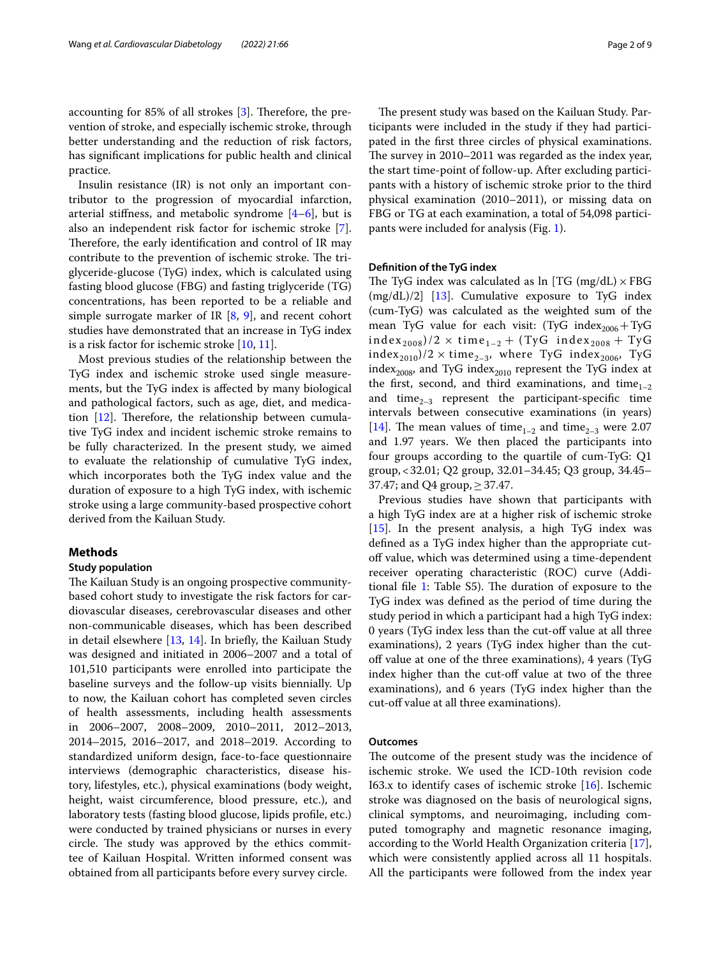accounting for 85% of all strokes  $[3]$  $[3]$ . Therefore, the prevention of stroke, and especially ischemic stroke, through better understanding and the reduction of risk factors, has signifcant implications for public health and clinical practice.

Insulin resistance (IR) is not only an important contributor to the progression of myocardial infarction, arterial stiffness, and metabolic syndrome  $[4-6]$  $[4-6]$ , but is also an independent risk factor for ischemic stroke [\[7](#page-8-3)]. Therefore, the early identification and control of IR may contribute to the prevention of ischemic stroke. The triglyceride-glucose (TyG) index, which is calculated using fasting blood glucose (FBG) and fasting triglyceride (TG) concentrations, has been reported to be a reliable and simple surrogate marker of IR  $[8, 9]$  $[8, 9]$  $[8, 9]$  $[8, 9]$ , and recent cohort studies have demonstrated that an increase in TyG index is a risk factor for ischemic stroke [\[10](#page-8-6), [11](#page-8-7)].

Most previous studies of the relationship between the TyG index and ischemic stroke used single measurements, but the TyG index is afected by many biological and pathological factors, such as age, diet, and medication  $[12]$  $[12]$ . Therefore, the relationship between cumulative TyG index and incident ischemic stroke remains to be fully characterized. In the present study, we aimed to evaluate the relationship of cumulative TyG index, which incorporates both the TyG index value and the duration of exposure to a high TyG index, with ischemic stroke using a large community-based prospective cohort derived from the Kailuan Study.

## **Methods**

## **Study population**

The Kailuan Study is an ongoing prospective communitybased cohort study to investigate the risk factors for cardiovascular diseases, cerebrovascular diseases and other non-communicable diseases, which has been described in detail elsewhere  $[13, 14]$  $[13, 14]$  $[13, 14]$  $[13, 14]$ . In briefly, the Kailuan Study was designed and initiated in 2006–2007 and a total of 101,510 participants were enrolled into participate the baseline surveys and the follow-up visits biennially. Up to now, the Kailuan cohort has completed seven circles of health assessments, including health assessments in 2006–2007, 2008–2009, 2010–2011, 2012–2013, 2014–2015, 2016–2017, and 2018–2019. According to standardized uniform design, face-to-face questionnaire interviews (demographic characteristics, disease history, lifestyles, etc.), physical examinations (body weight, height, waist circumference, blood pressure, etc.), and laboratory tests (fasting blood glucose, lipids profle, etc.) were conducted by trained physicians or nurses in every circle. The study was approved by the ethics committee of Kailuan Hospital. Written informed consent was obtained from all participants before every survey circle.

The present study was based on the Kailuan Study. Participants were included in the study if they had participated in the frst three circles of physical examinations. The survey in 2010–2011 was regarded as the index year, the start time-point of follow-up. After excluding participants with a history of ischemic stroke prior to the third physical examination (2010–2011), or missing data on FBG or TG at each examination, a total of 54,098 participants were included for analysis (Fig. [1](#page-2-0)).

## **Defnition of the TyG index**

The TyG index was calculated as  $\ln$  [TG (mg/dL)  $\times$  FBG  $(mg/dL)/2$  [[13](#page-8-9)]. Cumulative exposure to TyG index (cum-TyG) was calculated as the weighted sum of the mean TyG value for each visit: (TyG index<sub>2006</sub>+TyG  $index_{2008})/2 \times time_{1-2} + (TyG \text{ index}_{2008} + TyG)$ index<sub>2010</sub>)/2  $\times$  time<sub>2–3</sub>, where TyG index<sub>2006</sub>, TyG index<sub>2008</sub>, and TyG index<sub>2010</sub> represent the TyG index at the first, second, and third examinations, and time $_{1-2}$ and time<sub>2–3</sub> represent the participant-specific time intervals between consecutive examinations (in years) [[14\]](#page-8-10). The mean values of time<sub>1–2</sub> and time<sub>2–3</sub> were 2.07 and 1.97 years. We then placed the participants into four groups according to the quartile of cum-TyG: Q1 group,<32.01; Q2 group, 32.01–34.45; Q3 group, 34.45– 37.47; and Q4 group,  $\geq$  37.47.

Previous studies have shown that participants with a high TyG index are at a higher risk of ischemic stroke [[15\]](#page-8-11). In the present analysis, a high TyG index was defned as a TyG index higher than the appropriate cutoff value, which was determined using a time-dependent receiver operating characteristic (ROC) curve (Additional file  $1$ : Table S5). The duration of exposure to the TyG index was defned as the period of time during the study period in which a participant had a high TyG index: 0 years (TyG index less than the cut-off value at all three examinations), 2 years (TyG index higher than the cutoff value at one of the three examinations), 4 years (TyG index higher than the cut-off value at two of the three examinations), and 6 years (TyG index higher than the cut-of value at all three examinations).

## **Outcomes**

The outcome of the present study was the incidence of ischemic stroke. We used the ICD-10th revision code I63.x to identify cases of ischemic stroke  $[16]$ . Ischemic stroke was diagnosed on the basis of neurological signs, clinical symptoms, and neuroimaging, including computed tomography and magnetic resonance imaging, according to the World Health Organization criteria [\[17](#page-8-13)], which were consistently applied across all 11 hospitals. All the participants were followed from the index year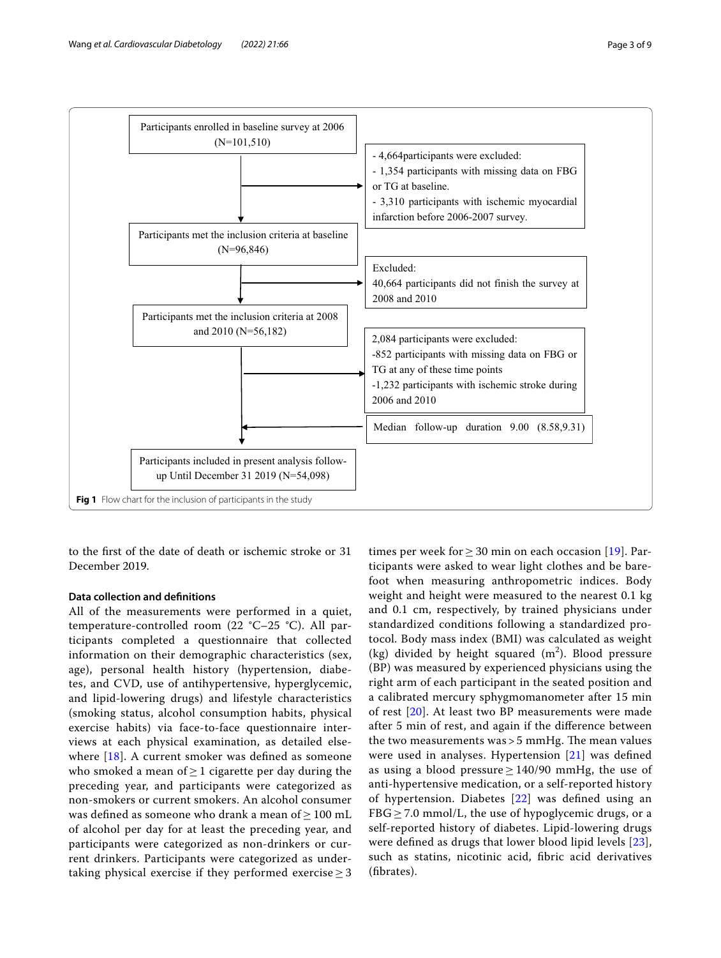

<span id="page-2-0"></span>to the frst of the date of death or ischemic stroke or 31 December 2019.

## **Data collection and defnitions**

All of the measurements were performed in a quiet, temperature-controlled room (22 °C–25 °C). All participants completed a questionnaire that collected information on their demographic characteristics (sex, age), personal health history (hypertension, diabetes, and CVD, use of antihypertensive, hyperglycemic, and lipid-lowering drugs) and lifestyle characteristics (smoking status, alcohol consumption habits, physical exercise habits) via face-to-face questionnaire interviews at each physical examination, as detailed else-where [[18](#page-8-14)]. A current smoker was defined as someone who smoked a mean of  $\geq 1$  cigarette per day during the preceding year, and participants were categorized as non-smokers or current smokers. An alcohol consumer was defined as someone who drank a mean of > 100 mL of alcohol per day for at least the preceding year, and participants were categorized as non-drinkers or current drinkers. Participants were categorized as undertaking physical exercise if they performed exercise  $\geq$  3

times per week for  $> 30$  min on each occasion [[19\]](#page-8-15). Participants were asked to wear light clothes and be barefoot when measuring anthropometric indices. Body weight and height were measured to the nearest 0.1 kg and 0.1 cm, respectively, by trained physicians under standardized conditions following a standardized protocol. Body mass index (BMI) was calculated as weight (kg) divided by height squared  $(m^2)$ . Blood pressure (BP) was measured by experienced physicians using the right arm of each participant in the seated position and a calibrated mercury sphygmomanometer after 15 min of rest [[20\]](#page-8-16). At least two BP measurements were made after 5 min of rest, and again if the diference between the two measurements was  $>$  5 mmHg. The mean values were used in analyses. Hypertension [\[21\]](#page-8-17) was defned as using a blood pressure  $\geq$  140/90 mmHg, the use of anti-hypertensive medication, or a self-reported history of hypertension. Diabetes [[22\]](#page-8-18) was defned using an  $FBG \geq 7.0$  mmol/L, the use of hypoglycemic drugs, or a self-reported history of diabetes. Lipid-lowering drugs were defned as drugs that lower blood lipid levels [[23](#page-8-19)], such as statins, nicotinic acid, fbric acid derivatives (fbrates).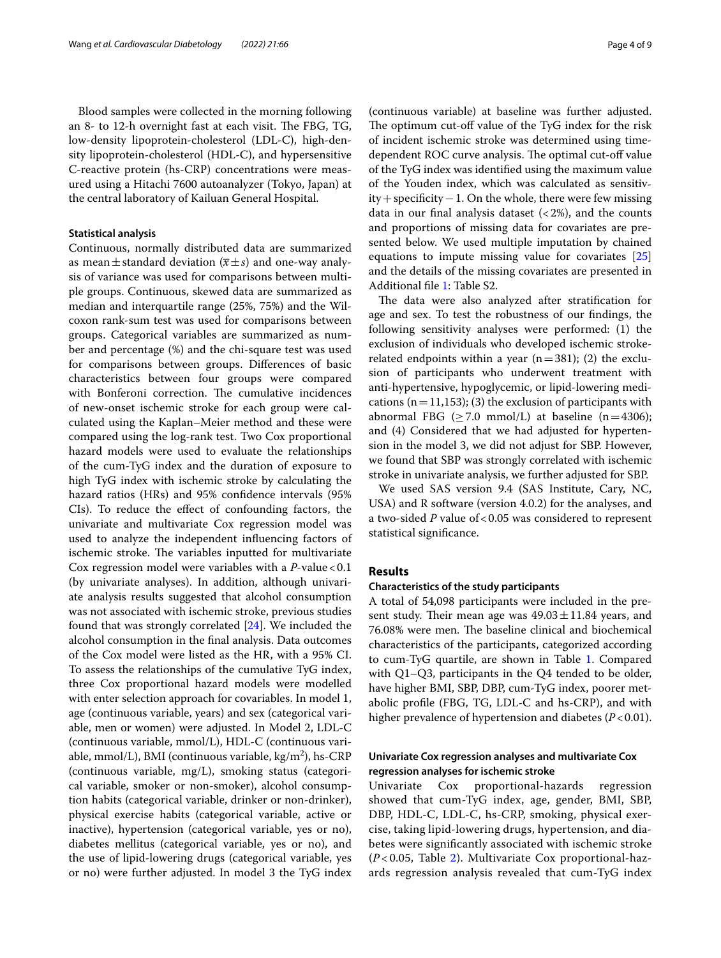ured using a Hitachi 7600 autoanalyzer (Tokyo, Japan) at the central laboratory of Kailuan General Hospital.

#### **Statistical analysis**

Continuous, normally distributed data are summarized as mean $\pm$ standard deviation ( $\overline{x} \pm s$ ) and one-way analysis of variance was used for comparisons between multiple groups. Continuous, skewed data are summarized as median and interquartile range (25%, 75%) and the Wilcoxon rank-sum test was used for comparisons between groups. Categorical variables are summarized as number and percentage (%) and the chi-square test was used for comparisons between groups. Diferences of basic characteristics between four groups were compared with Bonferoni correction. The cumulative incidences of new-onset ischemic stroke for each group were calculated using the Kaplan–Meier method and these were compared using the log-rank test. Two Cox proportional hazard models were used to evaluate the relationships of the cum-TyG index and the duration of exposure to high TyG index with ischemic stroke by calculating the hazard ratios (HRs) and 95% confdence intervals (95% CIs). To reduce the efect of confounding factors, the univariate and multivariate Cox regression model was used to analyze the independent infuencing factors of ischemic stroke. The variables inputted for multivariate Cox regression model were variables with a *P*-value < 0.1 (by univariate analyses). In addition, although univariate analysis results suggested that alcohol consumption was not associated with ischemic stroke, previous studies found that was strongly correlated [\[24](#page-8-20)]. We included the alcohol consumption in the fnal analysis. Data outcomes of the Cox model were listed as the HR, with a 95% CI. To assess the relationships of the cumulative TyG index, three Cox proportional hazard models were modelled with enter selection approach for covariables. In model 1, age (continuous variable, years) and sex (categorical variable, men or women) were adjusted. In Model 2, LDL-C (continuous variable, mmol/L), HDL-C (continuous variable, mmol/L), BMI (continuous variable, kg/m<sup>2</sup>), hs-CRP (continuous variable, mg/L), smoking status (categorical variable, smoker or non-smoker), alcohol consumption habits (categorical variable, drinker or non-drinker), physical exercise habits (categorical variable, active or inactive), hypertension (categorical variable, yes or no), diabetes mellitus (categorical variable, yes or no), and the use of lipid-lowering drugs (categorical variable, yes or no) were further adjusted. In model 3 the TyG index

(continuous variable) at baseline was further adjusted. The optimum cut-off value of the TyG index for the risk of incident ischemic stroke was determined using timedependent ROC curve analysis. The optimal cut-off value of the TyG index was identifed using the maximum value of the Youden index, which was calculated as sensitivity+specifcity−1. On the whole, there were few missing data in our final analysis dataset  $\left( < 2\% \right)$ , and the counts and proportions of missing data for covariates are presented below. We used multiple imputation by chained equations to impute missing value for covariates [[25](#page-8-21)] and the details of the missing covariates are presented in Additional fle [1](#page-7-2): Table S2.

The data were also analyzed after stratification for age and sex. To test the robustness of our fndings, the following sensitivity analyses were performed: (1) the exclusion of individuals who developed ischemic strokerelated endpoints within a year ( $n=381$ ); (2) the exclusion of participants who underwent treatment with anti-hypertensive, hypoglycemic, or lipid-lowering medications ( $n=11,153$ ); (3) the exclusion of participants with abnormal FBG ( $\geq$  7.0 mmol/L) at baseline (n=4306); and (4) Considered that we had adjusted for hypertension in the model 3, we did not adjust for SBP. However, we found that SBP was strongly correlated with ischemic stroke in univariate analysis, we further adjusted for SBP.

We used SAS version 9.4 (SAS Institute, Cary, NC, USA) and R software (version 4.0.2) for the analyses, and a two-sided *P* value of<0.05 was considered to represent statistical signifcance.

## **Results**

## **Characteristics of the study participants**

A total of 54,098 participants were included in the present study. Their mean age was  $49.03 \pm 11.84$  years, and 76.08% were men. The baseline clinical and biochemical characteristics of the participants, categorized according to cum-TyG quartile, are shown in Table [1.](#page-4-0) Compared with Q1–Q3, participants in the Q4 tended to be older, have higher BMI, SBP, DBP, cum-TyG index, poorer metabolic profle (FBG, TG, LDL-C and hs-CRP), and with higher prevalence of hypertension and diabetes (*P*<0.01).

## **Univariate Cox regression analyses and multivariate Cox regression analyses for ischemic stroke**

Univariate Cox proportional-hazards regression showed that cum-TyG index, age, gender, BMI, SBP, DBP, HDL-C, LDL-C, hs-CRP, smoking, physical exercise, taking lipid-lowering drugs, hypertension, and diabetes were signifcantly associated with ischemic stroke (*P* < 0.05, Table [2](#page-5-0)). Multivariate Cox proportional-hazards regression analysis revealed that cum-TyG index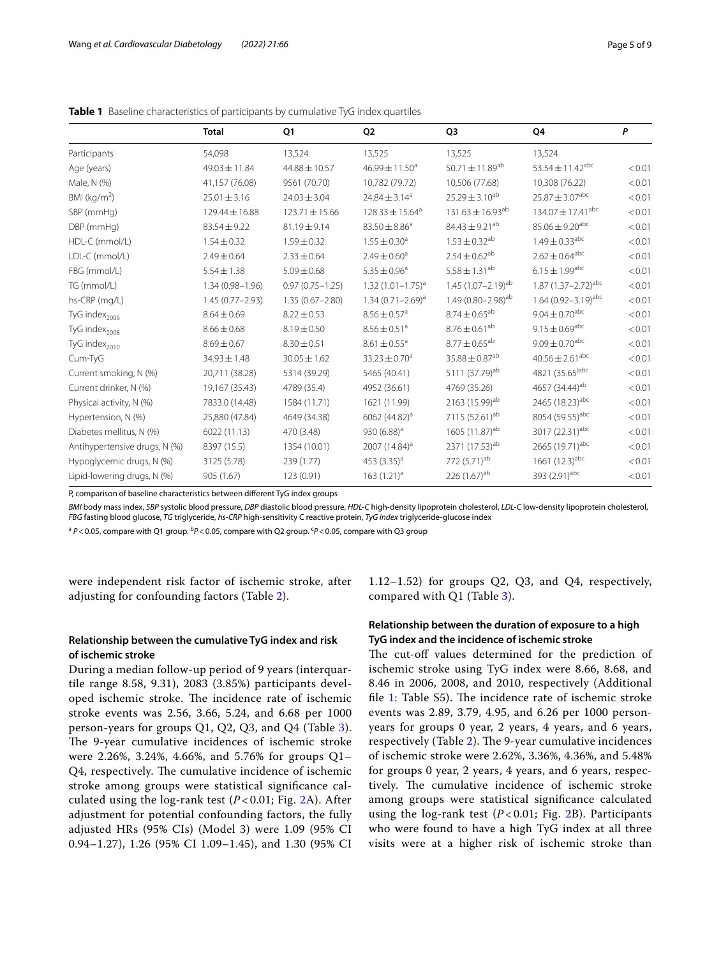|                               | Total               | Q1                  | Q <sub>2</sub>               | Q3                              | Q4                                  | P      |
|-------------------------------|---------------------|---------------------|------------------------------|---------------------------------|-------------------------------------|--------|
| Participants                  | 54,098              | 13,524              | 13,525                       | 13,525                          | 13,524                              |        |
| Age (years)                   | 49.03 ± 11.84       | 44.88 ± 10.57       | $46.99 \pm 11.50^a$          | 50.71 $\pm$ 11.89 <sup>ab</sup> | 53.54 $\pm$ 11.42 <sup>abc</sup>    | < 0.01 |
| Male, N (%)                   | 41,157 (76.08)      | 9561 (70.70)        | 10,782 (79.72)               | 10,506 (77.68)                  | 10,308 (76.22)                      | < 0.01 |
| BMI $(kg/m2)$                 | $25.01 \pm 3.16$    | $24.03 \pm 3.04$    | $24.84 \pm 3.14^a$           | $25.29 \pm 3.10^{ab}$           | $25.87 \pm 3.07$ <sup>abc</sup>     | < 0.01 |
| SBP (mmHg)                    | 129.44 ± 16.88      | $123.71 \pm 15.66$  | $128.33 \pm 15.64^a$         | $131.63 \pm 16.93^{ab}$         | $134.07 \pm 17.41$ <sup>abc</sup>   | < 0.01 |
| DBP (mmHg)                    | $83.54 \pm 9.22$    | 81.19±9.14          | $83.50 \pm 8.86^a$           | $84.43 \pm 9.21^{ab}$           | $85.06 \pm 9.20$ <sup>abc</sup>     | < 0.01 |
| HDL-C (mmol/L)                | $1.54 \pm 0.32$     | $1.59 \pm 0.32$     | $1.55 \pm 0.30$ <sup>a</sup> | $1.53 \pm 0.32^{ab}$            | $1.49 \pm 0.33^{\text{abc}}$        | < 0.01 |
| LDL-C (mmol/L)                | $2.49 \pm 0.64$     | $2.33 \pm 0.64$     | $2.49 \pm 0.60$ <sup>a</sup> | $2.54 \pm 0.62^{ab}$            | $2.62\pm0.64^\text{abc}$            | < 0.01 |
| FBG (mmol/L)                  | $5.54 \pm 1.38$     | $5.09 \pm 0.68$     | $5.35 \pm 0.96^a$            | $5.58 \pm 1.31^{ab}$            | $6.15 \pm 1.99$ <sup>abc</sup>      | < 0.01 |
| TG (mmol/L)                   | $1.34(0.98 - 1.96)$ | $0.97(0.75 - 1.25)$ | $1.32(1.01 - 1.75)^{a}$      | $1.45(1.07 - 2.19)^{ab}$        | 1.87 $(1.37 - 2.72)^{abc}$          | < 0.01 |
| hs-CRP (mg/L)                 | 1.45 (0.77-2.93)    | $1.35(0.67 - 2.80)$ | $1.34(0.71 - 2.69)^a$        | 1.49 $(0.80 - 2.98)^{ab}$       | 1.64 $(0.92 - 3.19)$ <sup>abc</sup> | < 0.01 |
| TyG index <sub>2006</sub>     | $8.64 \pm 0.69$     | $8.22 \pm 0.53$     | $8.56 \pm 0.57$ <sup>a</sup> | $8.74 \pm 0.65^{ab}$            | $9.04 \pm 0.70$ <sup>abc</sup>      | < 0.01 |
| TyG index <sub>2008</sub>     | $8.66 \pm 0.68$     | $8.19 \pm 0.50$     | $8.56 \pm 0.51$ <sup>a</sup> | $8.76 \pm 0.61^{ab}$            | $9.15 \pm 0.69$ <sup>abc</sup>      | < 0.01 |
| TyG index <sub>2010</sub>     | $8.69 \pm 0.67$     | $8.30 \pm 0.51$     | $8.61 \pm 0.55$ <sup>a</sup> | $8.77 \pm 0.65^{ab}$            | $9.09 \pm 0.70^{abc}$               | < 0.01 |
| Cum-TyG                       | $34.93 \pm 1.48$    | $30.05 \pm 1.62$    | $33.23 \pm 0.70^a$           | $35.88 \pm 0.87$ <sup>ab</sup>  | $40.56 \pm 2.61^{abc}$              | < 0.01 |
| Current smoking, N (%)        | 20,711 (38.28)      | 5314 (39.29)        | 5465 (40.41)                 | 5111 (37.79) <sup>ab</sup>      | 4821 (35.65)abc                     | < 0.01 |
| Current drinker, N (%)        | 19,167 (35.43)      | 4789 (35.4)         | 4952 (36.61)                 | 4769 (35.26)                    | 4657 (34.44) <sup>ab</sup>          | < 0.01 |
| Physical activity, N (%)      | 7833.0 (14.48)      | 1584 (11.71)        | 1621 (11.99)                 | 2163 (15.99) <sup>ab</sup>      | 2465 (18.23) <sup>abc</sup>         | < 0.01 |
| Hypertension, N (%)           | 25,880 (47.84)      | 4649 (34.38)        | 6062 (44.82) <sup>a</sup>    | 7115 (52.61) <sup>ab</sup>      | 8054 (59.55) <sup>abc</sup>         | < 0.01 |
| Diabetes mellitus, N (%)      | 6022 (11.13)        | 470 (3.48)          | 930 $(6.88)^a$               | 1605 (11.87) <sup>ab</sup>      | 3017 (22.31) <sup>abc</sup>         | < 0.01 |
| Antihypertensive drugs, N (%) | 8397 (15.5)         | 1354 (10.01)        | 2007 (14.84) <sup>a</sup>    | 2371 (17.53) <sup>ab</sup>      | 2665 (19.71) <sup>abc</sup>         | < 0.01 |
| Hypoglycemic drugs, N (%)     | 3125 (5.78)         | 239 (1.77)          | 453 $(3.35)^a$               | 772 (5.71) <sup>ab</sup>        | 1661 $(12.3)^{abc}$                 | < 0.01 |
| Lipid-lowering drugs, N (%)   | 905 (1.67)          | 123 (0.91)          | $163 (1.21)^a$               | 226(1.67) <sup>ab</sup>         | 393 (2.91) <sup>abc</sup>           | < 0.01 |

<span id="page-4-0"></span>**Table 1** Baseline characteristics of participants by cumulative TyG index quartiles

P, comparison of baseline characteristics between diferent TyG index groups

*BMI* body mass index, *SBP* systolic blood pressure, *DBP* diastolic blood pressure, *HDL-C* high-density lipoprotein cholesterol, *LDL-C* low-density lipoprotein cholesterol, *FBG* fasting blood glucose, *TG* triglyceride, *hs-CRP* high-sensitivity C reactive protein, *TyG index* triglyceride-glucose index

<sup>a</sup> P<0.05, compare with Q1 group. <sup>b</sup>P<0.05, compare with Q2 group. <sup>c</sup>P<0.05, compare with Q3 group

were independent risk factor of ischemic stroke, after adjusting for confounding factors (Table [2](#page-5-0)).

1.12–1.52) for groups Q2, Q3, and Q4, respectively, compared with Q1 (Table [3\)](#page-5-1).

## **Relationship between the cumulative TyG index and risk of ischemic stroke**

During a median follow-up period of 9 years (interquartile range 8.58, 9.31), 2083 (3.85%) participants developed ischemic stroke. The incidence rate of ischemic stroke events was 2.56, 3.66, 5.24, and 6.68 per 1000 person-years for groups Q1, Q2, Q3, and Q4 (Table [3\)](#page-5-1). The 9-year cumulative incidences of ischemic stroke were 2.26%, 3.24%, 4.66%, and 5.76% for groups Q1– Q4, respectively. The cumulative incidence of ischemic stroke among groups were statistical signifcance calculated using the log-rank test (*P* < 0.01; Fig. [2A](#page-6-0)). After adjustment for potential confounding factors, the fully adjusted HRs (95% CIs) (Model 3) were 1.09 (95% CI 0.94–1.27), 1.26 (95% CI 1.09–1.45), and 1.30 (95% CI

## **Relationship between the duration of exposure to a high TyG index and the incidence of ischemic stroke**

The cut-off values determined for the prediction of ischemic stroke using TyG index were 8.66, 8.68, and 8.46 in 2006, 2008, and 2010, respectively (Additional file [1](#page-7-2): Table S5). The incidence rate of ischemic stroke events was 2.89, 3.79, 4.95, and 6.26 per 1000 personyears for groups 0 year, 2 years, 4 years, and 6 years, respectively (Table [2\)](#page-5-0). The 9-year cumulative incidences of ischemic stroke were 2.62%, 3.36%, 4.36%, and 5.48% for groups 0 year, 2 years, 4 years, and 6 years, respectively. The cumulative incidence of ischemic stroke among groups were statistical signifcance calculated using the log-rank test  $(P< 0.01;$  Fig. [2](#page-6-0)B). Participants who were found to have a high TyG index at all three visits were at a higher risk of ischemic stroke than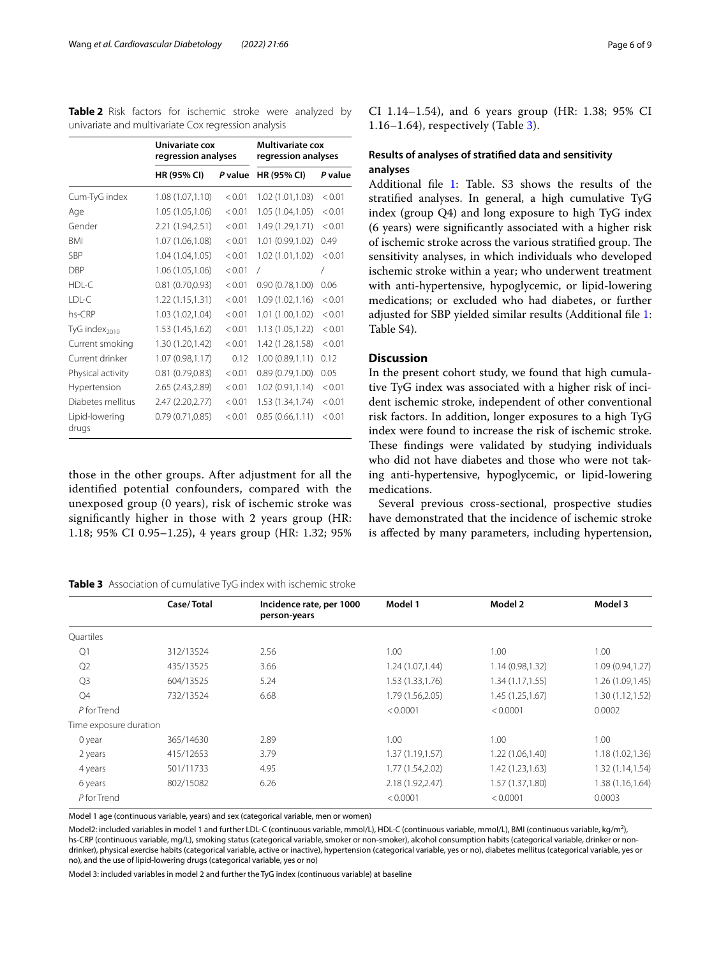<span id="page-5-0"></span>**Table 2** Risk factors for ischemic stroke were analyzed by univariate and multivariate Cox regression analysis

|                           | Univariate cox<br>regression analyses |         | <b>Multivariate cox</b><br>regression analyses |         |  |
|---------------------------|---------------------------------------|---------|------------------------------------------------|---------|--|
|                           | HR (95% CI)                           | P value | HR (95% CI)                                    | P value |  |
| Cum-TyG index             | 1.08(1.07,1.10)                       | < 0.01  | 1.02 (1.01,1.03)                               | < 0.01  |  |
| Age                       | 1.05 (1.05,1.06)                      | < 0.01  | 1.05 (1.04,1.05)                               | < 0.01  |  |
| Gender                    | 2.21 (1.94,2.51)                      | < 0.01  | 1.49 (1.29,1.71)                               | < 0.01  |  |
| <b>BMI</b>                | 1.07 (1.06,1.08)                      | < 0.01  | 1.01 (0.99,1.02)                               | 0.49    |  |
| <b>SBP</b>                | 1.04 (1.04,1.05)                      | < 0.01  | 1.02 (1.01,1.02)                               | < 0.01  |  |
| <b>DBP</b>                | 1.06 (1.05,1.06)                      | < 0.01  | $\sqrt{2}$                                     | 7       |  |
| HDL-C                     | 0.81(0.70, 0.93)                      | < 0.01  | 0.90(0.78,1.00)                                | 0.06    |  |
| LDL-C                     | 1.22(1.15, 1.31)                      | < 0.01  | 1.09(1.02,1.16)                                | < 0.01  |  |
| hs-CRP                    | 1.03 (1.02,1.04)                      | < 0.01  | 1.01 (1.00,1.02)                               | < 0.01  |  |
| TyG index <sub>2010</sub> | 1.53 (1.45,1.62)                      | < 0.01  | 1.13(1.05, 1.22)                               | < 0.01  |  |
| Current smoking           | 1.30 (1.20,1.42)                      | < 0.01  | 1.42 (1.28,1.58)                               | < 0.01  |  |
| Current drinker           | 1.07(0.98,1.17)                       | 0.12    | 1.00(0.89,1.11)                                | 0.12    |  |
| Physical activity         | 0.81(0.79, 0.83)                      | < 0.01  | 0.89 (0.79,1.00)                               | 0.05    |  |
| Hypertension              | 2.65 (2.43,2.89)                      | < 0.01  | 1.02(0.91, 1.14)                               | < 0.01  |  |
| Diabetes mellitus         | 2.47 (2.20, 2.77)                     | < 0.01  | 1.53 (1.34,1.74)                               | < 0.01  |  |
| Lipid-lowering<br>drugs   | 0.79(0.71, 0.85)                      | < 0.01  | 0.85(0.66, 1.11)                               | < 0.01  |  |

those in the other groups. After adjustment for all the identifed potential confounders, compared with the unexposed significantly 1.18; 95% C

#### <span id="page-5-1"></span>**Table 3** Assoc

| Incidence rate, per 1000<br>Case/Total<br>person-years                                                                                 | Model 1                                                                                      | Model |
|----------------------------------------------------------------------------------------------------------------------------------------|----------------------------------------------------------------------------------------------|-------|
| ciation of cumulative TyG index with ischemic stroke                                                                                   |                                                                                              |       |
| group (0 years), risk of ischemic stroke was<br>higher in those with 2 years group (HR:<br>I 0.95–1.25), 4 years group (HR: 1.32; 95%) | Several previous cross-sect<br>have demonstrated that the in<br>is affected by many paramete |       |

|                        | Case/Total | Incidence rate, per 1000<br>person-years | Model 1          | Model 2          | Model 3          |
|------------------------|------------|------------------------------------------|------------------|------------------|------------------|
| Quartiles              |            |                                          |                  |                  |                  |
| Q1                     | 312/13524  | 2.56                                     | 1.00             | 1.00             | 1.00             |
| Q2                     | 435/13525  | 3.66                                     | 1.24(1.07, 1.44) | 1.14 (0.98,1.32) | 1.09(0.94, 1.27) |
| Q <sub>3</sub>         | 604/13525  | 5.24                                     | 1.53(1.33, 1.76) | 1.34(1.17, 1.55) | 1.26(1.09, 1.45) |
| Q4                     | 732/13524  | 6.68                                     | 1.79 (1.56,2.05) | 1.45 (1.25,1.67) | 1.30(1.12, 1.52) |
| P for Trend            |            |                                          | < 0.0001         | < 0.0001         | 0.0002           |
| Time exposure duration |            |                                          |                  |                  |                  |
| 0 year                 | 365/14630  | 2.89                                     | 1.00             | 1.00             | 1.00             |
| 2 years                | 415/12653  | 3.79                                     | 1.37(1.19, 1.57) | 1.22 (1.06,1.40) | 1.18(1.02, 1.36) |
| 4 years                | 501/11733  | 4.95                                     | 1.77 (1.54,2.02) | 1.42 (1.23,1.63) | 1.32(1.14, 1.54) |
| 6 years                | 802/15082  | 6.26                                     | 2.18 (1.92,2.47) | 1.57 (1.37,1.80) | 1.38(1.16, 1.64) |
| P for Trend            |            |                                          | < 0.0001         | < 0.0001         | 0.0003           |
|                        |            |                                          |                  |                  |                  |

Model 1 age (continuous variable, years) and sex (categorical variable, men or women)

Model2: included variables in model 1 and further LDL-C (continuous variable, mmol/L), HDL-C (continuous variable, mmol/L), BMI (continuous variable, kg/m<sup>2</sup>), hs-CRP (continuous variable, mg/L), smoking status (categorical variable, smoker or non-smoker), alcohol consumption habits (categorical variable, drinker or nondrinker), physical exercise habits (categorical variable, active or inactive), hypertension (categorical variable, yes or no), diabetes mellitus (categorical variable, yes or no), and the use of lipid-lowering drugs (categorical variable, yes or no)

Model 3: included variables in model 2 and further the TyG index (continuous variable) at baseline

CI 1.14–1.54), and 6 years group (HR: 1.38; 95% CI 1.16–1.64), respectively (Table [3](#page-5-1)).

## **Results of analyses of stratifed data and sensitivity analyses**

Additional fle [1:](#page-7-2) Table. S3 shows the results of the stratifed analyses. In general, a high cumulative TyG index (group Q4) and long exposure to high TyG index (6 years) were signifcantly associated with a higher risk of ischemic stroke across the various stratified group. The sensitivity analyses, in which individuals who developed ischemic stroke within a year; who underwent treatment with anti-hypertensive, hypoglycemic, or lipid-lowering medications; or excluded who had diabetes, or further adjusted for SBP yielded similar results (Additional fle [1](#page-7-2): Table S4).

## **Discussion**

In the present cohort study, we found that high cumulative TyG index was associated with a higher risk of incident ischemic stroke, independent of other conventional risk factors. In addition, longer exposures to a high TyG index were found to increase the risk of ischemic stroke. These findings were validated by studying individuals who did not have diabetes and those who were not taking anti-hypertensive, hypoglycemic, or lipid-lowering medications.

tional, prospective studies hcidence of ischemic stroke its, including hypertension,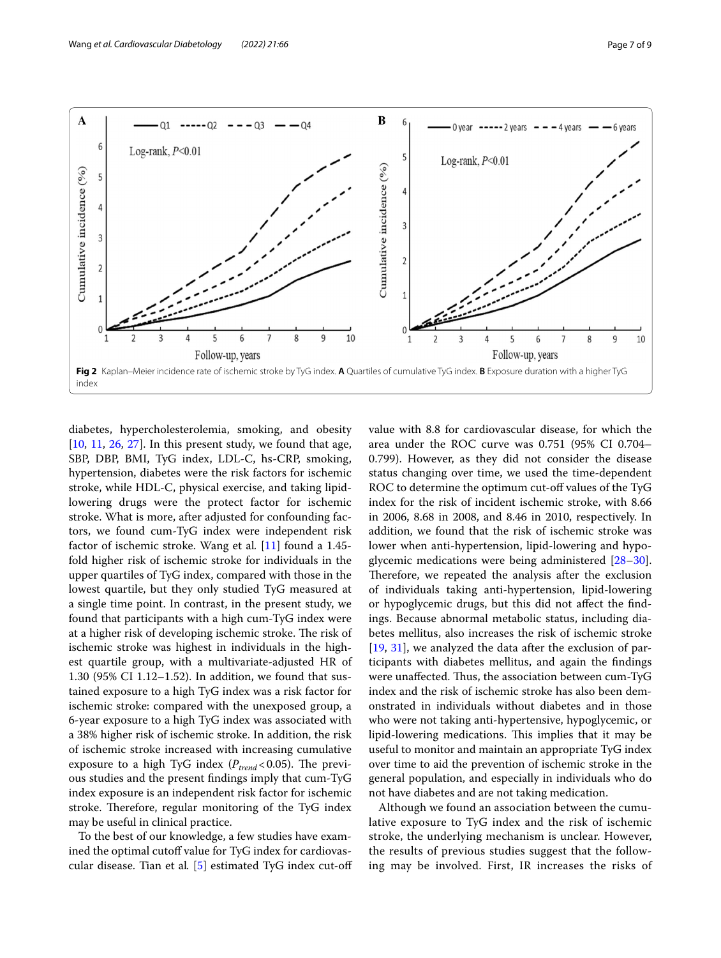

<span id="page-6-0"></span>diabetes, hypercholesterolemia, smoking, and obesity  $[10, 11, 26, 27]$  $[10, 11, 26, 27]$  $[10, 11, 26, 27]$  $[10, 11, 26, 27]$  $[10, 11, 26, 27]$  $[10, 11, 26, 27]$  $[10, 11, 26, 27]$  $[10, 11, 26, 27]$  $[10, 11, 26, 27]$ . In this present study, we found that age, SBP, DBP, BMI, TyG index, LDL-C, hs-CRP, smoking, hypertension, diabetes were the risk factors for ischemic stroke, while HDL-C, physical exercise, and taking lipidlowering drugs were the protect factor for ischemic stroke. What is more, after adjusted for confounding factors, we found cum-TyG index were independent risk factor of ischemic stroke. Wang et al*.* [[11\]](#page-8-7) found a 1.45 fold higher risk of ischemic stroke for individuals in the upper quartiles of TyG index, compared with those in the lowest quartile, but they only studied TyG measured at a single time point. In contrast, in the present study, we found that participants with a high cum-TyG index were at a higher risk of developing ischemic stroke. The risk of ischemic stroke was highest in individuals in the highest quartile group, with a multivariate-adjusted HR of 1.30 (95% CI 1.12–1.52). In addition, we found that sustained exposure to a high TyG index was a risk factor for ischemic stroke: compared with the unexposed group, a 6-year exposure to a high TyG index was associated with a 38% higher risk of ischemic stroke. In addition, the risk of ischemic stroke increased with increasing cumulative exposure to a high TyG index  $(P_{trend} < 0.05)$ . The previous studies and the present fndings imply that cum-TyG index exposure is an independent risk factor for ischemic stroke. Therefore, regular monitoring of the TyG index may be useful in clinical practice.

To the best of our knowledge, a few studies have examined the optimal cutoff value for TyG index for cardiovascular disease. Tian et al*.* [[5\]](#page-8-24) estimated TyG index cut-of value with 8.8 for cardiovascular disease, for which the area under the ROC curve was 0.751 (95% CI 0.704– 0.799). However, as they did not consider the disease status changing over time, we used the time-dependent ROC to determine the optimum cut-off values of the TyG index for the risk of incident ischemic stroke, with 8.66 in 2006, 8.68 in 2008, and 8.46 in 2010, respectively. In addition, we found that the risk of ischemic stroke was lower when anti-hypertension, lipid-lowering and hypoglycemic medications were being administered [[28](#page-8-25)[–30](#page-8-26)]. Therefore, we repeated the analysis after the exclusion of individuals taking anti-hypertension, lipid-lowering or hypoglycemic drugs, but this did not afect the fndings. Because abnormal metabolic status, including diabetes mellitus, also increases the risk of ischemic stroke [[19,](#page-8-15) [31\]](#page-8-27), we analyzed the data after the exclusion of participants with diabetes mellitus, and again the fndings were unaffected. Thus, the association between cum-TyG index and the risk of ischemic stroke has also been demonstrated in individuals without diabetes and in those who were not taking anti-hypertensive, hypoglycemic, or lipid-lowering medications. This implies that it may be useful to monitor and maintain an appropriate TyG index over time to aid the prevention of ischemic stroke in the general population, and especially in individuals who do not have diabetes and are not taking medication.

Although we found an association between the cumulative exposure to TyG index and the risk of ischemic stroke, the underlying mechanism is unclear. However, the results of previous studies suggest that the following may be involved. First, IR increases the risks of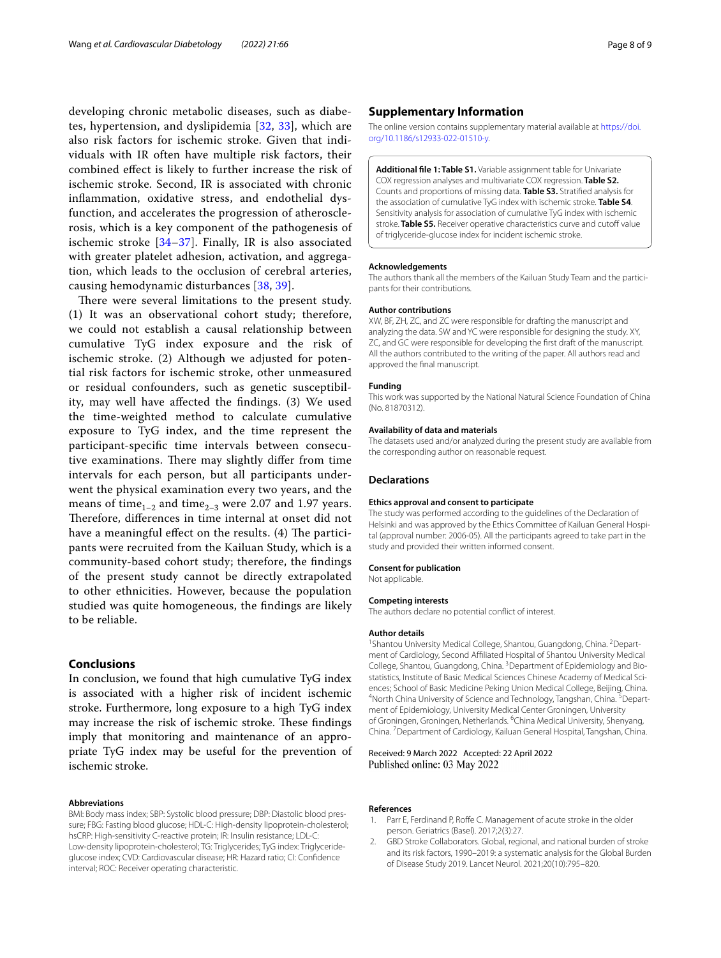developing chronic metabolic diseases, such as diabetes, hypertension, and dyslipidemia [\[32](#page-8-28), [33](#page-8-29)], which are also risk factors for ischemic stroke. Given that individuals with IR often have multiple risk factors, their combined efect is likely to further increase the risk of ischemic stroke. Second, IR is associated with chronic infammation, oxidative stress, and endothelial dysfunction, and accelerates the progression of atherosclerosis, which is a key component of the pathogenesis of ischemic stroke [\[34–](#page-8-30)[37\]](#page-8-31). Finally, IR is also associated with greater platelet adhesion, activation, and aggregation, which leads to the occlusion of cerebral arteries, causing hemodynamic disturbances [[38,](#page-8-32) [39\]](#page-8-33).

There were several limitations to the present study. (1) It was an observational cohort study; therefore, we could not establish a causal relationship between cumulative TyG index exposure and the risk of ischemic stroke. (2) Although we adjusted for potential risk factors for ischemic stroke, other unmeasured or residual confounders, such as genetic susceptibility, may well have afected the fndings. (3) We used the time-weighted method to calculate cumulative exposure to TyG index, and the time represent the participant-specifc time intervals between consecutive examinations. There may slightly differ from time intervals for each person, but all participants underwent the physical examination every two years, and the means of time<sub>1–2</sub> and time<sub>2–3</sub> were 2.07 and 1.97 years. Therefore, differences in time internal at onset did not have a meaningful effect on the results. (4) The participants were recruited from the Kailuan Study, which is a community-based cohort study; therefore, the fndings of the present study cannot be directly extrapolated to other ethnicities. However, because the population studied was quite homogeneous, the fndings are likely to be reliable.

## **Conclusions**

In conclusion, we found that high cumulative TyG index is associated with a higher risk of incident ischemic stroke. Furthermore, long exposure to a high TyG index may increase the risk of ischemic stroke. These findings imply that monitoring and maintenance of an appropriate TyG index may be useful for the prevention of ischemic stroke.

#### **Abbreviations**

BMI: Body mass index; SBP: Systolic blood pressure; DBP: Diastolic blood pressure; FBG: Fasting blood glucose; HDL-C: High-density lipoprotein-cholesterol; hsCRP: High-sensitivity C-reactive protein; IR: Insulin resistance; LDL-C: Low-density lipoprotein-cholesterol; TG: Triglycerides; TyG index: Triglycerideglucose index; CVD: Cardiovascular disease; HR: Hazard ratio; CI: Confdence interval; ROC: Receiver operating characteristic.

## **Supplementary Information**

The online version contains supplementary material available at [https://doi.](https://doi.org/10.1186/s12933-022-01510-y) [org/10.1186/s12933-022-01510-y.](https://doi.org/10.1186/s12933-022-01510-y)

<span id="page-7-2"></span>**Additional fle 1: Table S1.** Variable assignment table for Univariate COX regression analyses and multivariate COX regression. **Table S2.**  Counts and proportions of missing data. **Table S3.** Stratifed analysis for the association of cumulative TyG index with ischemic stroke. **Table S4**. Sensitivity analysis for association of cumulative TyG index with ischemic stroke. **Table S5.** Receiver operative characteristics curve and cutoff value of triglyceride-glucose index for incident ischemic stroke.

#### **Acknowledgements**

The authors thank all the members of the Kailuan Study Team and the participants for their contributions.

#### **Author contributions**

XW, BF, ZH, ZC, and ZC were responsible for drafting the manuscript and analyzing the data. SW and YC were responsible for designing the study. XY, ZC, and GC were responsible for developing the frst draft of the manuscript. All the authors contributed to the writing of the paper. All authors read and approved the fnal manuscript.

## **Funding**

This work was supported by the National Natural Science Foundation of China (No. 81870312).

#### **Availability of data and materials**

The datasets used and/or analyzed during the present study are available from the corresponding author on reasonable request.

#### **Declarations**

#### **Ethics approval and consent to participate**

The study was performed according to the guidelines of the Declaration of Helsinki and was approved by the Ethics Committee of Kailuan General Hospital (approval number: 2006-05). All the participants agreed to take part in the study and provided their written informed consent.

#### **Consent for publication**

Not applicable.

#### **Competing interests**

The authors declare no potential confict of interest.

#### **Author details**

<sup>1</sup> Shantou University Medical College, Shantou, Guangdong, China. <sup>2</sup> Department of Cardiology, Second Afliated Hospital of Shantou University Medical College, Shantou, Guangdong, China. <sup>3</sup> Department of Epidemiology and Biostatistics, Institute of Basic Medical Sciences Chinese Academy of Medical Sciences; School of Basic Medicine Peking Union Medical College, Beijing, China. 4 North China University of Science and Technology, Tangshan, China. <sup>5</sup> Department of Epidemiology, University Medical Center Groningen, University of Groningen, Groningen, Netherlands. <sup>6</sup>China Medical University, Shenyang, China. <sup>7</sup> Department of Cardiology, Kailuan General Hospital, Tangshan, China.

Received: 9 March 2022 Accepted: 22 April 2022 Published online: 03 May 2022

#### **References**

- <span id="page-7-0"></span>Parr E, Ferdinand P, Roffe C. Management of acute stroke in the older person. Geriatrics (Basel). 2017;2(3):27.
- <span id="page-7-1"></span>2. GBD Stroke Collaborators. Global, regional, and national burden of stroke and its risk factors, 1990–2019: a systematic analysis for the Global Burden of Disease Study 2019. Lancet Neurol. 2021;20(10):795–820.